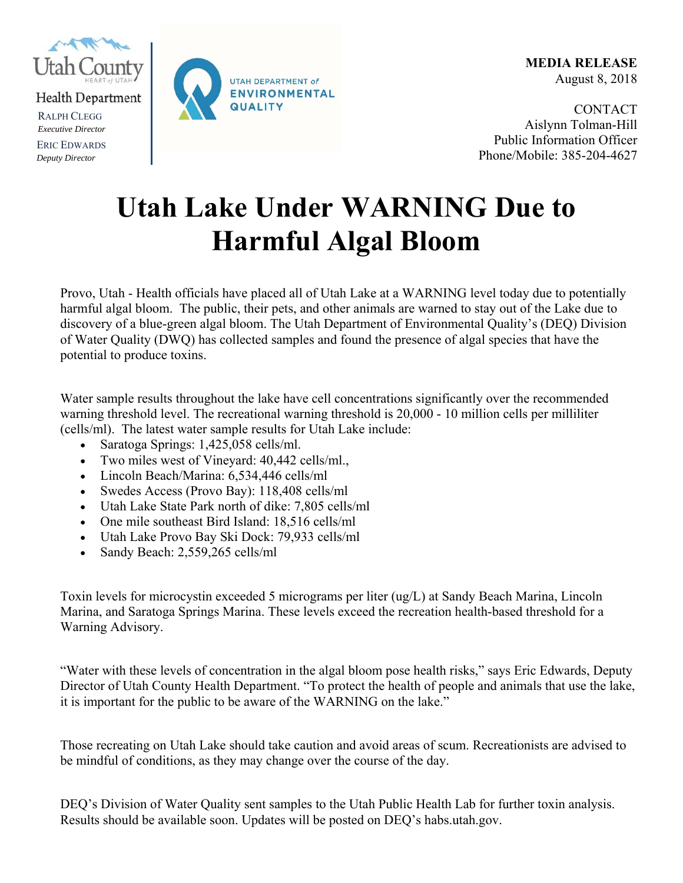

Health Department

RALPH CLEGG *Executive Director* ERIC EDWARDS *Deputy Director*



**MEDIA RELEASE**  August 8, 2018

**CONTACT** Aislynn Tolman-Hill Public Information Officer Phone/Mobile: 385-204-4627

## **Utah Lake Under WARNING Due to Harmful Algal Bloom**

Provo, Utah - Health officials have placed all of Utah Lake at a WARNING level today due to potentially harmful algal bloom. The public, their pets, and other animals are warned to stay out of the Lake due to discovery of a blue-green algal bloom. The Utah Department of Environmental Quality's (DEQ) Division of Water Quality (DWQ) has collected samples and found the presence of algal species that have the potential to produce toxins.

Water sample results throughout the lake have cell concentrations significantly over the recommended warning threshold level. The recreational warning threshold is 20,000 - 10 million cells per milliliter (cells/ml). The latest water sample results for Utah Lake include:

- Saratoga Springs: 1,425,058 cells/ml.
- Two miles west of Vineyard: 40,442 cells/ml.,
- Lincoln Beach/Marina: 6,534,446 cells/ml
- Swedes Access (Provo Bay): 118,408 cells/ml
- Utah Lake State Park north of dike: 7,805 cells/ml
- One mile southeast Bird Island: 18,516 cells/ml
- Utah Lake Provo Bay Ski Dock: 79,933 cells/ml
- Sandy Beach: 2,559,265 cells/ml

Toxin levels for microcystin exceeded 5 micrograms per liter (ug/L) at Sandy Beach Marina, Lincoln Marina, and Saratoga Springs Marina. These levels exceed the recreation health-based threshold for a Warning Advisory.

"Water with these levels of concentration in the algal bloom pose health risks," says Eric Edwards, Deputy Director of Utah County Health Department. "To protect the health of people and animals that use the lake, it is important for the public to be aware of the WARNING on the lake."

Those recreating on Utah Lake should take caution and avoid areas of scum. Recreationists are advised to be mindful of conditions, as they may change over the course of the day.

DEQ's Division of Water Quality sent samples to the Utah Public Health Lab for further toxin analysis. Results should be available soon. Updates will be posted on DEQ's habs.utah.gov.